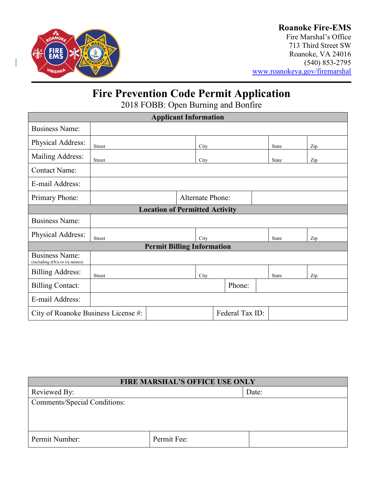

### **Roanoke Fire-EMS**

Fire Marshal's Office 713 Third Street SW Roanoke, VA 24016 (540) 853-2795 [www.roanokeva.gov/firemarshal](http://www.roanokeva.gov/firemarshal)

# **Fire Prevention Code Permit Application**

2018 FOBB: Open Burning and Bonfire

| <b>Applicant Information</b>                            |                  |  |      |  |        |              |     |  |
|---------------------------------------------------------|------------------|--|------|--|--------|--------------|-----|--|
| <b>Business Name:</b>                                   |                  |  |      |  |        |              |     |  |
| Physical Address:                                       | <b>Street</b>    |  | City |  |        | <b>State</b> | Zip |  |
| Mailing Address:                                        | Street           |  | City |  |        | <b>State</b> | Zip |  |
| <b>Contact Name:</b>                                    |                  |  |      |  |        |              |     |  |
| E-mail Address:                                         |                  |  |      |  |        |              |     |  |
| Primary Phone:                                          | Alternate Phone: |  |      |  |        |              |     |  |
| <b>Location of Permitted Activity</b>                   |                  |  |      |  |        |              |     |  |
| <b>Business Name:</b>                                   |                  |  |      |  |        |              |     |  |
| Physical Address:                                       | Street           |  | City |  |        | <b>State</b> | Zip |  |
| <b>Permit Billing Information</b>                       |                  |  |      |  |        |              |     |  |
| <b>Business Name:</b><br>(including d/b/a or t/a names) |                  |  |      |  |        |              |     |  |
| <b>Billing Address:</b>                                 | Street           |  | City |  |        | State        | Zip |  |
| <b>Billing Contact:</b>                                 |                  |  |      |  | Phone: |              |     |  |
| E-mail Address:                                         |                  |  |      |  |        |              |     |  |
| Federal Tax ID:<br>City of Roanoke Business License #:  |                  |  |      |  |        |              |     |  |

| <b>FIRE MARSHAL'S OFFICE USE ONLY</b> |             |       |  |  |
|---------------------------------------|-------------|-------|--|--|
| Reviewed By:                          |             | Date: |  |  |
| Comments/Special Conditions:          |             |       |  |  |
|                                       |             |       |  |  |
|                                       |             |       |  |  |
| Permit Number:                        | Permit Fee: |       |  |  |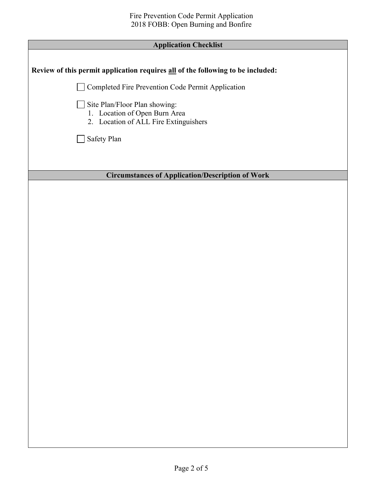| <b>Application Checklist</b>                                                                            |
|---------------------------------------------------------------------------------------------------------|
|                                                                                                         |
| Review of this permit application requires all of the following to be included:                         |
| Completed Fire Prevention Code Permit Application                                                       |
| Site Plan/Floor Plan showing:<br>1. Location of Open Burn Area<br>2. Location of ALL Fire Extinguishers |
| Safety Plan                                                                                             |
|                                                                                                         |
| <b>Circumstances of Application/Description of Work</b>                                                 |
|                                                                                                         |
|                                                                                                         |
|                                                                                                         |
|                                                                                                         |
|                                                                                                         |
|                                                                                                         |
|                                                                                                         |
|                                                                                                         |
|                                                                                                         |
|                                                                                                         |
|                                                                                                         |
|                                                                                                         |
|                                                                                                         |
|                                                                                                         |
|                                                                                                         |
|                                                                                                         |
|                                                                                                         |
|                                                                                                         |
|                                                                                                         |
|                                                                                                         |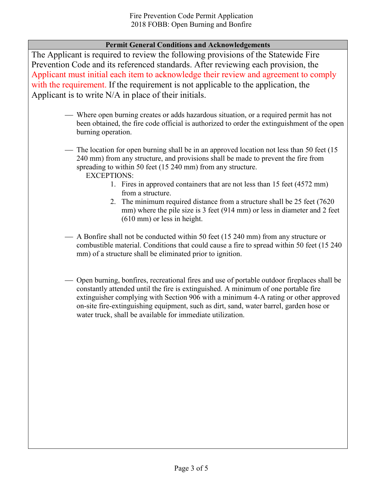### **Permit General Conditions and Acknowledgements**

The Applicant is required to review the following provisions of the Statewide Fire Prevention Code and its referenced standards. After reviewing each provision, the Applicant must initial each item to acknowledge their review and agreement to comply with the requirement. If the requirement is not applicable to the application, the Applicant is to write N/A in place of their initials.

- Where open burning creates or adds hazardous situation, or a required permit has not been obtained, the fire code official is authorized to order the extinguishment of the open burning operation.
- The location for open burning shall be in an approved location not less than 50 feet (15) 240 mm) from any structure, and provisions shall be made to prevent the fire from spreading to within 50 feet (15 240 mm) from any structure.

EXCEPTIONS:

- 1. Fires in approved containers that are not less than 15 feet (4572 mm) from a structure.
- 2. The minimum required distance from a structure shall be 25 feet (7620 mm) where the pile size is 3 feet (914 mm) or less in diameter and 2 feet (610 mm) or less in height.
- A Bonfire shall not be conducted within 50 feet (15 240 mm) from any structure or combustible material. Conditions that could cause a fire to spread within 50 feet (15 240 mm) of a structure shall be eliminated prior to ignition.
- Open burning, bonfires, recreational fires and use of portable outdoor fireplaces shall be constantly attended until the fire is extinguished. A minimum of one portable fire extinguisher complying with Section 906 with a minimum 4-A rating or other approved on-site fire-extinguishing equipment, such as dirt, sand, water barrel, garden hose or water truck, shall be available for immediate utilization.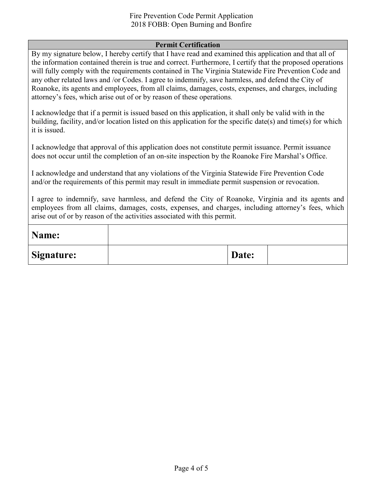#### **Permit Certification**

By my signature below, I hereby certify that I have read and examined this application and that all of the information contained therein is true and correct. Furthermore, I certify that the proposed operations will fully comply with the requirements contained in The Virginia Statewide Fire Prevention Code and any other related laws and /or Codes. I agree to indemnify, save harmless, and defend the City of Roanoke, its agents and employees, from all claims, damages, costs, expenses, and charges, including attorney's fees, which arise out of or by reason of these operations.

I acknowledge that if a permit is issued based on this application, it shall only be valid with in the building, facility, and/or location listed on this application for the specific date(s) and time(s) for which it is issued.

I acknowledge that approval of this application does not constitute permit issuance. Permit issuance does not occur until the completion of an on-site inspection by the Roanoke Fire Marshal's Office.

I acknowledge and understand that any violations of the Virginia Statewide Fire Prevention Code and/or the requirements of this permit may result in immediate permit suspension or revocation.

I agree to indemnify, save harmless, and defend the City of Roanoke, Virginia and its agents and employees from all claims, damages, costs, expenses, and charges, including attorney's fees, which arise out of or by reason of the activities associated with this permit.

| Name:             |       |  |
|-------------------|-------|--|
| <b>Signature:</b> | Date: |  |